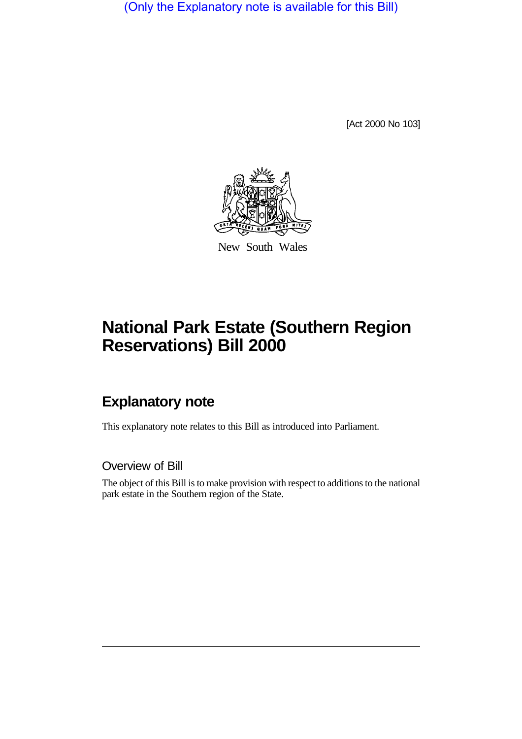(Only the Explanatory note is available for this Bill)

[Act 2000 No 103]



New South Wales

# **National Park Estate (Southern Region Reservations) Bill 2000**

## **Explanatory note**

This explanatory note relates to this Bill as introduced into Parliament.

Overview of Bill

The object of this Bill is to make provision with respect to additions to the national park estate in the Southern region of the State.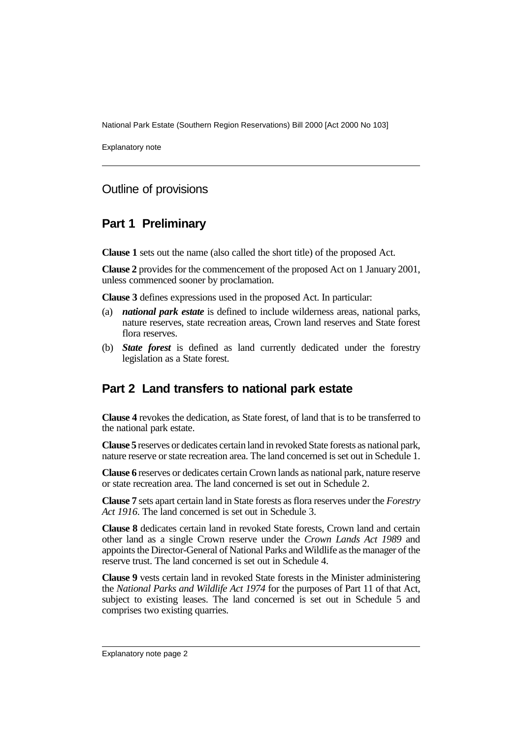National Park Estate (Southern Region Reservations) Bill 2000 [Act 2000 No 103]

Explanatory note

#### Outline of provisions

#### **Part 1 Preliminary**

**Clause 1** sets out the name (also called the short title) of the proposed Act.

**Clause 2** provides for the commencement of the proposed Act on 1 January 2001, unless commenced sooner by proclamation.

**Clause 3** defines expressions used in the proposed Act. In particular:

- (a) *national park estate* is defined to include wilderness areas, national parks, nature reserves, state recreation areas, Crown land reserves and State forest flora reserves.
- (b) *State forest* is defined as land currently dedicated under the forestry legislation as a State forest.

#### **Part 2 Land transfers to national park estate**

**Clause 4** revokes the dedication, as State forest, of land that is to be transferred to the national park estate.

**Clause 5** reserves or dedicates certain land in revoked State forests as national park, nature reserve or state recreation area. The land concerned is set out in Schedule 1.

**Clause 6** reserves or dedicates certain Crown lands as national park, nature reserve or state recreation area. The land concerned is set out in Schedule 2.

**Clause 7** sets apart certain land in State forests as flora reserves under the *Forestry Act 1916*. The land concerned is set out in Schedule 3.

**Clause 8** dedicates certain land in revoked State forests, Crown land and certain other land as a single Crown reserve under the *Crown Lands Act 1989* and appoints the Director-General of National Parks and Wildlife as the manager of the reserve trust. The land concerned is set out in Schedule 4.

**Clause 9** vests certain land in revoked State forests in the Minister administering the *National Parks and Wildlife Act 1974* for the purposes of Part 11 of that Act, subject to existing leases. The land concerned is set out in Schedule 5 and comprises two existing quarries.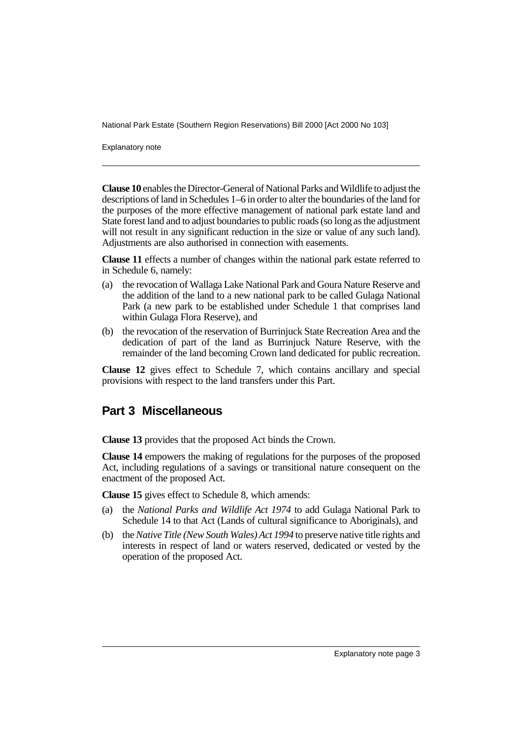National Park Estate (Southern Region Reservations) Bill 2000 [Act 2000 No 103]

Explanatory note

**Clause 10** enables the Director-General of National Parks and Wildlife to adjust the descriptions of land in Schedules 1–6 in order to alter the boundaries of the land for the purposes of the more effective management of national park estate land and State forest land and to adjust boundaries to public roads (so long as the adjustment will not result in any significant reduction in the size or value of any such land). Adjustments are also authorised in connection with easements.

**Clause 11** effects a number of changes within the national park estate referred to in Schedule 6, namely:

- (a) the revocation of Wallaga Lake National Park and Goura Nature Reserve and the addition of the land to a new national park to be called Gulaga National Park (a new park to be established under Schedule 1 that comprises land within Gulaga Flora Reserve), and
- (b) the revocation of the reservation of Burrinjuck State Recreation Area and the dedication of part of the land as Burrinjuck Nature Reserve, with the remainder of the land becoming Crown land dedicated for public recreation.

**Clause 12** gives effect to Schedule 7, which contains ancillary and special provisions with respect to the land transfers under this Part.

#### **Part 3 Miscellaneous**

**Clause 13** provides that the proposed Act binds the Crown.

**Clause 14** empowers the making of regulations for the purposes of the proposed Act, including regulations of a savings or transitional nature consequent on the enactment of the proposed Act.

**Clause 15** gives effect to Schedule 8, which amends:

- (a) the *National Parks and Wildlife Act 1974* to add Gulaga National Park to Schedule 14 to that Act (Lands of cultural significance to Aboriginals), and
- (b) the *Native Title (New South Wales) Act 1994* to preserve native title rights and interests in respect of land or waters reserved, dedicated or vested by the operation of the proposed Act.